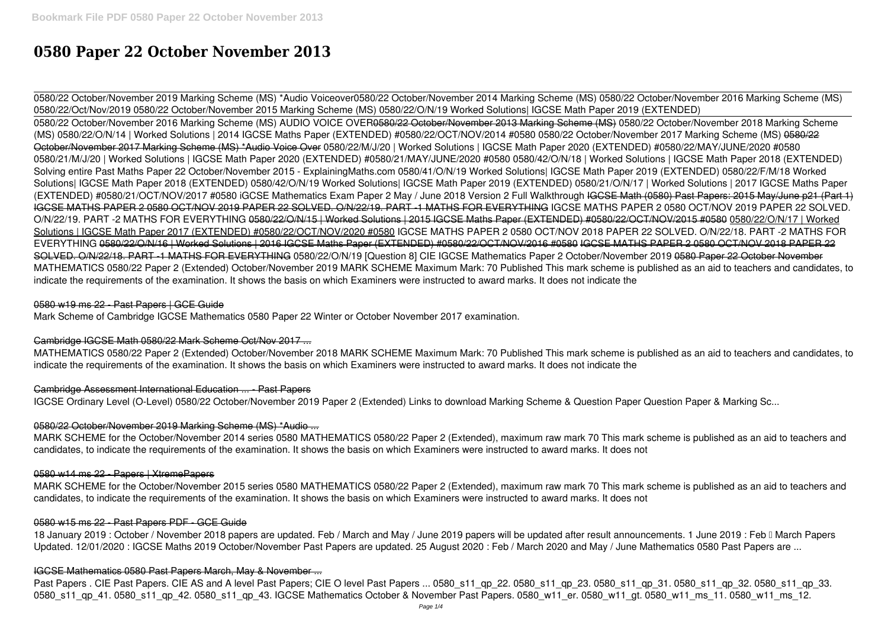# **0580 Paper 22 October November 2013**

0580/22 October/November 2019 Marking Scheme (MS) \*Audio Voiceover**0580/22 October/November 2014 Marking Scheme (MS)** *0580/22 October/November 2016 Marking Scheme (MS) 0580/22/Oct/Nov/2019 0580/22 October/November 2015 Marking Scheme (MS) 0580/22/O/N/19 Worked Solutions| IGCSE Math Paper 2019 (EXTENDED)* 0580/22 October/November 2016 Marking Scheme (MS) AUDIO VOICE OVER0580/22 October/November 2013 Marking Scheme (MS) *0580/22 October/November 2018 Marking Scheme (MS) 0580/22/O/N/14 | Worked Solutions | 2014 IGCSE Maths Paper (EXTENDED) #0580/22/OCT/NOV/2014 #0580 0580/22 October/November 2017 Marking Scheme (MS)* 0580/22 October/November 2017 Marking Scheme (MS) \*Audio Voice Over *0580/22/M/J/20 | Worked Solutions | IGCSE Math Paper 2020 (EXTENDED) #0580/22/MAY/JUNE/2020 #0580* **0580/21/M/J/20 | Worked Solutions | IGCSE Math Paper 2020 (EXTENDED) #0580/21/MAY/JUNE/2020 #0580** *0580/42/O/N/18 | Worked Solutions | IGCSE Math Paper 2018 (EXTENDED)* **Solving entire Past Maths Paper 22 October/November 2015 - ExplainingMaths.com** *0580/41/O/N/19 Worked Solutions| IGCSE Math Paper 2019 (EXTENDED)* 0580/22/F/M/18 Worked Solutions| IGCSE Math Paper 2018 (EXTENDED) *0580/42/O/N/19 Worked Solutions| IGCSE Math Paper 2019 (EXTENDED) 0580/21/O/N/17 | Worked Solutions | 2017 IGCSE Maths Paper (EXTENDED) #0580/21/OCT/NOV/2017 #0580 iGCSE Mathematics Exam Paper 2 May / June 2018 Version 2 Full Walkthrough* IGCSE Math (0580) Past Papers: 2015 May/June p21 (Part 1) IGCSE MATHS PAPER 2 0580 OCT/NOV 2019 PAPER 22 SOLVED. O/N/22/19. PART -1 MATHS FOR EVERYTHING *IGCSE MATHS PAPER 2 0580 OCT/NOV 2019 PAPER 22 SOLVED. O/N/22/19. PART -2 MATHS FOR EVERYTHING* 0580/22/O/N/15 | Worked Solutions | 2015 IGCSE Maths Paper (EXTENDED) #0580/22/OCT/NOV/2015 #0580 0580/22/O/N/17 | Worked Solutions | IGCSE Math Paper 2017 (EXTENDED) #0580/22/OCT/NOV/2020 #0580 **IGCSE MATHS PAPER 2 0580 OCT/NOV 2018 PAPER 22 SOLVED. O/N/22/18. PART -2 MATHS FOR EVERYTHING** 0580/22/O/N/16 | Worked Solutions | 2016 IGCSE Maths Paper (EXTENDED) #0580/22/OCT/NOV/2016 #0580 IGCSE MATHS PAPER 2 0580 OCT/NOV 2018 PAPER 22 SOLVED. O/N/22/18. PART -1 MATHS FOR EVERYTHING **0580/22/O/N/19 [Question 8] CIE IGCSE Mathematics Paper 2 October/November 2019** 0580 Paper 22 October November MATHEMATICS 0580/22 Paper 2 (Extended) October/November 2019 MARK SCHEME Maximum Mark: 70 Published This mark scheme is published as an aid to teachers and candidates, to indicate the requirements of the examination. It shows the basis on which Examiners were instructed to award marks. It does not indicate the

18 January 2019 : October / November 2018 papers are updated. Feb / March and May / June 2019 papers will be updated after result announcements. 1 June 2019 : Feb II March Papers Updated. 12/01/2020 : IGCSE Maths 2019 October/November Past Papers are updated. 25 August 2020 : Feb / March 2020 and May / June Mathematics 0580 Past Papers are ...

## 0580 w19 ms 22 - Past Papers | GCE Guide

Mark Scheme of Cambridge IGCSE Mathematics 0580 Paper 22 Winter or October November 2017 examination.

## Cambridge IGCSE Math 0580/22 Mark Scheme Oct/Nov 2017 ...

MATHEMATICS 0580/22 Paper 2 (Extended) October/November 2018 MARK SCHEME Maximum Mark: 70 Published This mark scheme is published as an aid to teachers and candidates, to indicate the requirements of the examination. It shows the basis on which Examiners were instructed to award marks. It does not indicate the

## Cambridge Assessment International Education ... - Past Papers

IGCSE Ordinary Level (O-Level) 0580/22 October/November 2019 Paper 2 (Extended) Links to download Marking Scheme & Question Paper Question Paper & Marking Sc...

## 0580/22 October/November 2019 Marking Scheme (MS) \*Audio ...

MARK SCHEME for the October/November 2014 series 0580 MATHEMATICS 0580/22 Paper 2 (Extended), maximum raw mark 70 This mark scheme is published as an aid to teachers and candidates, to indicate the requirements of the examination. It shows the basis on which Examiners were instructed to award marks. It does not

## 0580 w14 ms 22 - Papers | XtremePapers

MARK SCHEME for the October/November 2015 series 0580 MATHEMATICS 0580/22 Paper 2 (Extended), maximum raw mark 70 This mark scheme is published as an aid to teachers and candidates, to indicate the requirements of the examination. It shows the basis on which Examiners were instructed to award marks. It does not

## 0580 w15 ms 22 - Past Papers PDF - GCE Guide

## IGCSE Mathematics 0580 Past Papers March, May & November ...

Past Papers . CIE Past Papers. CIE AS and A level Past Papers; CIE O level Past Papers ... 0580 s11 qp 22. 0580 s11 qp 23. 0580 s11 qp 31. 0580 s11 qp 32. 0580 s11 qp 32. 0580 s11 qp 33. 0580 s11 qp 41. 0580 s11 qp 42. 0580 s11 qp 43. IGCSE Mathematics October & November Past Papers. 0580 w11 er. 0580 w11 gt. 0580 w11 ms 11. 0580 w11 ms 12.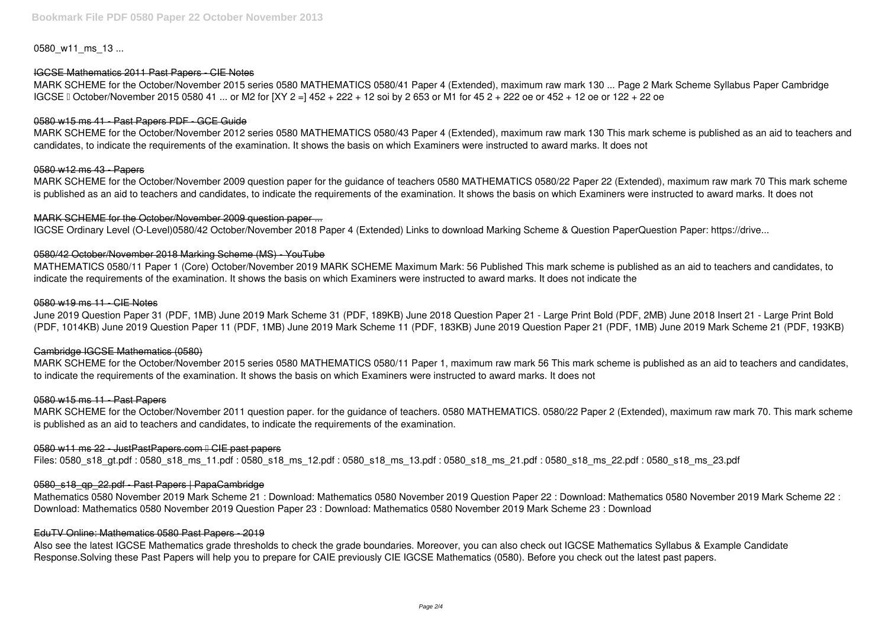0580 w11 ms 13 ...

MARK SCHEME for the October/November 2015 series 0580 MATHEMATICS 0580/41 Paper 4 (Extended), maximum raw mark 130 ... Page 2 Mark Scheme Syllabus Paper Cambridge IGCSE I October/November 2015 0580 41 ... or M2 for [XY 2 =] 452 + 222 + 12 soi by 2 653 or M1 for 45 2 + 222 oe or 452 + 12 oe or 122 + 22 oe

## IGCSE Mathematics 2011 Past Papers - CIE Notes

## 0580 w15 ms 41 - Past Papers PDF - GCE Guide

MARK SCHEME for the October/November 2012 series 0580 MATHEMATICS 0580/43 Paper 4 (Extended), maximum raw mark 130 This mark scheme is published as an aid to teachers and candidates, to indicate the requirements of the examination. It shows the basis on which Examiners were instructed to award marks. It does not

#### 0580 w12 ms 43 - Papers

MARK SCHEME for the October/November 2009 question paper for the guidance of teachers 0580 MATHEMATICS 0580/22 Paper 22 (Extended), maximum raw mark 70 This mark scheme is published as an aid to teachers and candidates, to indicate the requirements of the examination. It shows the basis on which Examiners were instructed to award marks. It does not

## MARK SCHEME for the October/November 2009 question paper ...

IGCSE Ordinary Level (O-Level)0580/42 October/November 2018 Paper 4 (Extended) Links to download Marking Scheme & Question PaperQuestion Paper: https://drive...

## 0580/42 October/November 2018 Marking Scheme (MS) - YouTube

MATHEMATICS 0580/11 Paper 1 (Core) October/November 2019 MARK SCHEME Maximum Mark: 56 Published This mark scheme is published as an aid to teachers and candidates, to indicate the requirements of the examination. It shows the basis on which Examiners were instructed to award marks. It does not indicate the

#### 0580 w19 ms 11 - CIE Notes

June 2019 Question Paper 31 (PDF, 1MB) June 2019 Mark Scheme 31 (PDF, 189KB) June 2018 Question Paper 21 - Large Print Bold (PDF, 2MB) June 2018 Insert 21 - Large Print Bold (PDF, 1014KB) June 2019 Question Paper 11 (PDF, 1MB) June 2019 Mark Scheme 11 (PDF, 183KB) June 2019 Question Paper 21 (PDF, 1MB) June 2019 Mark Scheme 21 (PDF, 193KB)

## Cambridge IGCSE Mathematics (0580)

MARK SCHEME for the October/November 2015 series 0580 MATHEMATICS 0580/11 Paper 1, maximum raw mark 56 This mark scheme is published as an aid to teachers and candidates, to indicate the requirements of the examination. It shows the basis on which Examiners were instructed to award marks. It does not

## 0580 w15 ms 11 - Past Papers

MARK SCHEME for the October/November 2011 question paper. for the guidance of teachers. 0580 MATHEMATICS. 0580/22 Paper 2 (Extended), maximum raw mark 70. This mark scheme is published as an aid to teachers and candidates, to indicate the requirements of the examination.

## 0580 w11 ms 22 - JustPastPapers.com I CIE past papers

Files: 0580\_s18\_gt.pdf : 0580\_s18\_ms\_11.pdf : 0580\_s18\_ms\_12.pdf : 0580\_s18\_ms\_13.pdf : 0580\_s18\_ms\_22.pdf : 0580\_s18\_ms\_23.pdf

## 0580\_s18\_qp\_22.pdf - Past Papers | PapaCambridge

Mathematics 0580 November 2019 Mark Scheme 21 : Download: Mathematics 0580 November 2019 Question Paper 22 : Download: Mathematics 0580 November 2019 Mark Scheme 22 : Download: Mathematics 0580 November 2019 Question Paper 23 : Download: Mathematics 0580 November 2019 Mark Scheme 23 : Download

## EduTV Online: Mathematics 0580 Past Papers - 2019

Also see the latest IGCSE Mathematics grade thresholds to check the grade boundaries. Moreover, you can also check out IGCSE Mathematics Syllabus & Example Candidate Response.Solving these Past Papers will help you to prepare for CAIE previously CIE IGCSE Mathematics (0580). Before you check out the latest past papers.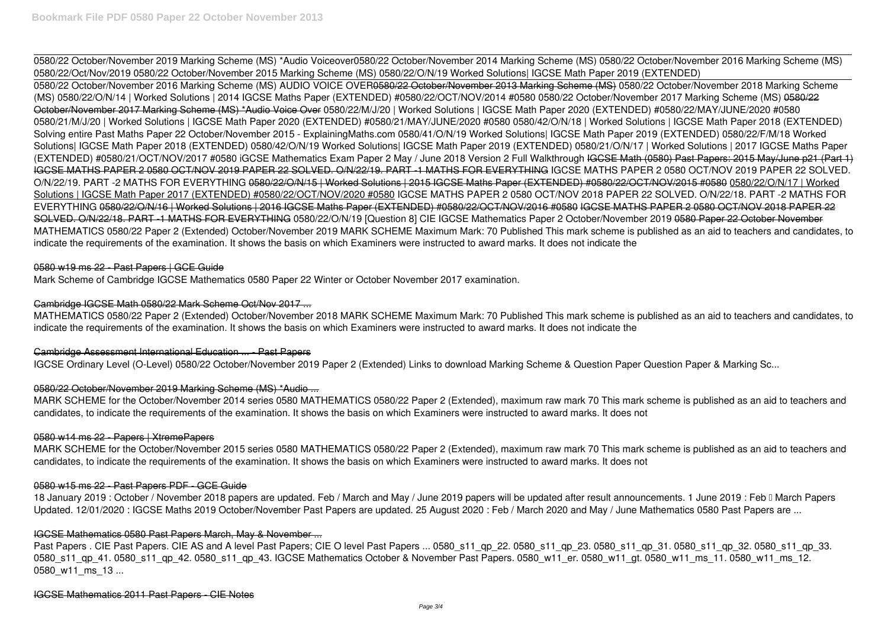0580/22 October/November 2019 Marking Scheme (MS) \*Audio Voiceover**0580/22 October/November 2014 Marking Scheme (MS)** *0580/22 October/November 2016 Marking Scheme (MS) 0580/22/Oct/Nov/2019 0580/22 October/November 2015 Marking Scheme (MS) 0580/22/O/N/19 Worked Solutions| IGCSE Math Paper 2019 (EXTENDED)* 0580/22 October/November 2016 Marking Scheme (MS) AUDIO VOICE OVER0580/22 October/November 2013 Marking Scheme (MS) *0580/22 October/November 2018 Marking Scheme (MS) 0580/22/O/N/14 | Worked Solutions | 2014 IGCSE Maths Paper (EXTENDED) #0580/22/OCT/NOV/2014 #0580 0580/22 October/November 2017 Marking Scheme (MS)* 0580/22 October/November 2017 Marking Scheme (MS) \*Audio Voice Over *0580/22/M/J/20 | Worked Solutions | IGCSE Math Paper 2020 (EXTENDED) #0580/22/MAY/JUNE/2020 #0580* **0580/21/M/J/20 | Worked Solutions | IGCSE Math Paper 2020 (EXTENDED) #0580/21/MAY/JUNE/2020 #0580** *0580/42/O/N/18 | Worked Solutions | IGCSE Math Paper 2018 (EXTENDED)* **Solving entire Past Maths Paper 22 October/November 2015 - ExplainingMaths.com** *0580/41/O/N/19 Worked Solutions| IGCSE Math Paper 2019 (EXTENDED)* 0580/22/F/M/18 Worked Solutions| IGCSE Math Paper 2018 (EXTENDED) *0580/42/O/N/19 Worked Solutions| IGCSE Math Paper 2019 (EXTENDED) 0580/21/O/N/17 | Worked Solutions | 2017 IGCSE Maths Paper (EXTENDED) #0580/21/OCT/NOV/2017 #0580 iGCSE Mathematics Exam Paper 2 May / June 2018 Version 2 Full Walkthrough* IGCSE Math (0580) Past Papers: 2015 May/June p21 (Part 1) IGCSE MATHS PAPER 2 0580 OCT/NOV 2019 PAPER 22 SOLVED. O/N/22/19. PART -1 MATHS FOR EVERYTHING *IGCSE MATHS PAPER 2 0580 OCT/NOV 2019 PAPER 22 SOLVED. O/N/22/19. PART -2 MATHS FOR EVERYTHING* 0580/22/O/N/15 | Worked Solutions | 2015 IGCSE Maths Paper (EXTENDED) #0580/22/OCT/NOV/2015 #0580 0580/22/O/N/17 | Worked Solutions | IGCSE Math Paper 2017 (EXTENDED) #0580/22/OCT/NOV/2020 #0580 **IGCSE MATHS PAPER 2 0580 OCT/NOV 2018 PAPER 22 SOLVED. O/N/22/18. PART -2 MATHS FOR EVERYTHING** 0580/22/O/N/16 | Worked Solutions | 2016 IGCSE Maths Paper (EXTENDED) #0580/22/OCT/NOV/2016 #0580 IGCSE MATHS PAPER 2 0580 OCT/NOV 2018 PAPER 22 SOLVED. O/N/22/18. PART -1 MATHS FOR EVERYTHING **0580/22/O/N/19 [Question 8] CIE IGCSE Mathematics Paper 2 October/November 2019** 0580 Paper 22 October November MATHEMATICS 0580/22 Paper 2 (Extended) October/November 2019 MARK SCHEME Maximum Mark: 70 Published This mark scheme is published as an aid to teachers and candidates, to indicate the requirements of the examination. It shows the basis on which Examiners were instructed to award marks. It does not indicate the

18 January 2019 : October / November 2018 papers are updated. Feb / March and May / June 2019 papers will be updated after result announcements. 1 June 2019 : Feb II March Papers Updated. 12/01/2020 : IGCSE Maths 2019 October/November Past Papers are updated. 25 August 2020 : Feb / March 2020 and May / June Mathematics 0580 Past Papers are ...

# 0580 w19 ms 22 - Past Papers | GCE Guide

Mark Scheme of Cambridge IGCSE Mathematics 0580 Paper 22 Winter or October November 2017 examination.

## Cambridge IGCSE Math 0580/22 Mark Scheme Oct/Nov 2017 ...

MATHEMATICS 0580/22 Paper 2 (Extended) October/November 2018 MARK SCHEME Maximum Mark: 70 Published This mark scheme is published as an aid to teachers and candidates, to indicate the requirements of the examination. It shows the basis on which Examiners were instructed to award marks. It does not indicate the

## Cambridge Assessment International Education ... - Past Papers

IGCSE Ordinary Level (O-Level) 0580/22 October/November 2019 Paper 2 (Extended) Links to download Marking Scheme & Question Paper Question Paper & Marking Sc...

# 0580/22 October/November 2019 Marking Scheme (MS) \*Audio ...

MARK SCHEME for the October/November 2014 series 0580 MATHEMATICS 0580/22 Paper 2 (Extended), maximum raw mark 70 This mark scheme is published as an aid to teachers and candidates, to indicate the requirements of the examination. It shows the basis on which Examiners were instructed to award marks. It does not

## 0580 w14 ms 22 - Papers | XtremePapers

MARK SCHEME for the October/November 2015 series 0580 MATHEMATICS 0580/22 Paper 2 (Extended), maximum raw mark 70 This mark scheme is published as an aid to teachers and candidates, to indicate the requirements of the examination. It shows the basis on which Examiners were instructed to award marks. It does not

## 0580 w15 ms 22 - Past Papers PDF - GCE Guide

# IGCSE Mathematics 0580 Past Papers March, May & November ...

Past Papers . CIE Past Papers. CIE AS and A level Past Papers; CIE O level Past Papers ... 0580 s11 qp 22. 0580 s11 qp 23. 0580 s11 qp 31. 0580 s11 qp 32. 0580 s11 qp 32. 0580 s11 qp 33. 0580 s11 qp 41. 0580 s11 qp 42. 0580 s11 qp 43. IGCSE Mathematics October & November Past Papers. 0580 w11 er. 0580 w11 qt. 0580 w11 ms 11. 0580 w11 ms\_12. 0580 w11 ms 13 ...